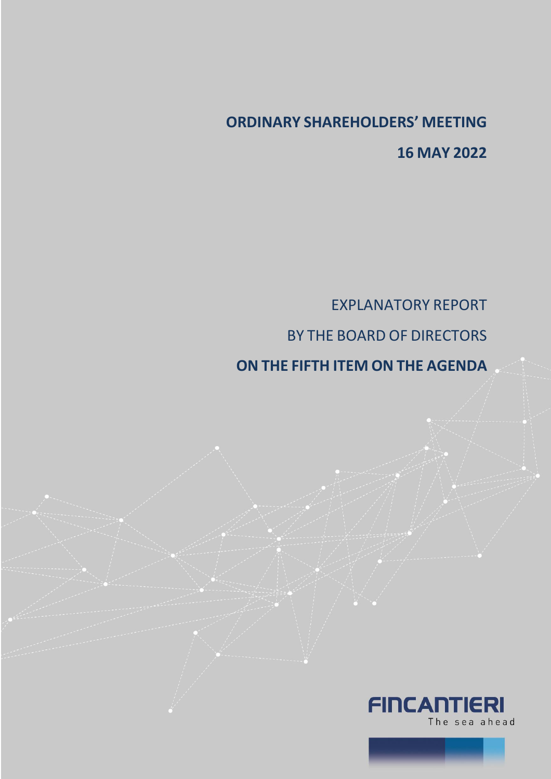# **ORDINARY SHAREHOLDERS' MEETING 16 MAY 2022**

EXPLANATORY REPORT BY THE BOARD OF DIRECTORS

**ON THE FIFTH ITEM ON THE AGENDA**



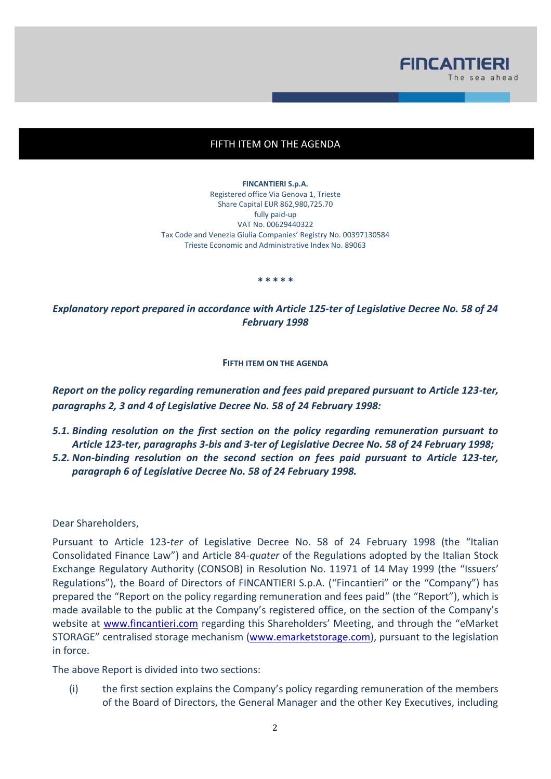

# FIFTH ITEM ON THE AGENDA

**FINCANTIERI S.p.A.** Registered office Via Genova 1, Trieste Share Capital EUR 862,980,725.70 fully paid-up VAT No. 00629440322 Tax Code and Venezia Giulia Companies' Registry No. 00397130584 Trieste Economic and Administrative Index No. 89063

**\* \* \* \* \***

*Explanatory report prepared in accordance with Article 125-ter of Legislative Decree No. 58 of 24 February 1998*

#### **FIFTH ITEM ON THE AGENDA**

*Report on the policy regarding remuneration and fees paid prepared pursuant to Article 123-ter, paragraphs 2, 3 and 4 of Legislative Decree No. 58 of 24 February 1998:*

*5.1. Binding resolution on the first section on the policy regarding remuneration pursuant to Article 123-ter, paragraphs 3-bis and 3-ter of Legislative Decree No. 58 of 24 February 1998; 5.2. Non-binding resolution on the second section on fees paid pursuant to Article 123-ter, paragraph 6 of Legislative Decree No. 58 of 24 February 1998.*

Dear Shareholders,

Pursuant to Article 123-*ter* of Legislative Decree No. 58 of 24 February 1998 (the "Italian Consolidated Finance Law") and Article 84-*quater* of the Regulations adopted by the Italian Stock Exchange Regulatory Authority (CONSOB) in Resolution No. 11971 of 14 May 1999 (the "Issuers' Regulations"), the Board of Directors of FINCANTIERI S.p.A. ("Fincantieri" or the "Company") has prepared the "Report on the policy regarding remuneration and fees paid" (the "Report"), which is made available to the public at the Company's registered office, on the section of the Company's website at [www.fincantieri.com](http://www.fincantieri.com/) regarding this Shareholders' Meeting, and through the "eMarket STORAGE" centralised storage mechanism [\(www.emarketstorage.com\)](http://www.emarketstorage.com/), pursuant to the legislation in force.

The above Report is divided into two sections:

(i) the first section explains the Company's policy regarding remuneration of the members of the Board of Directors, the General Manager and the other Key Executives, including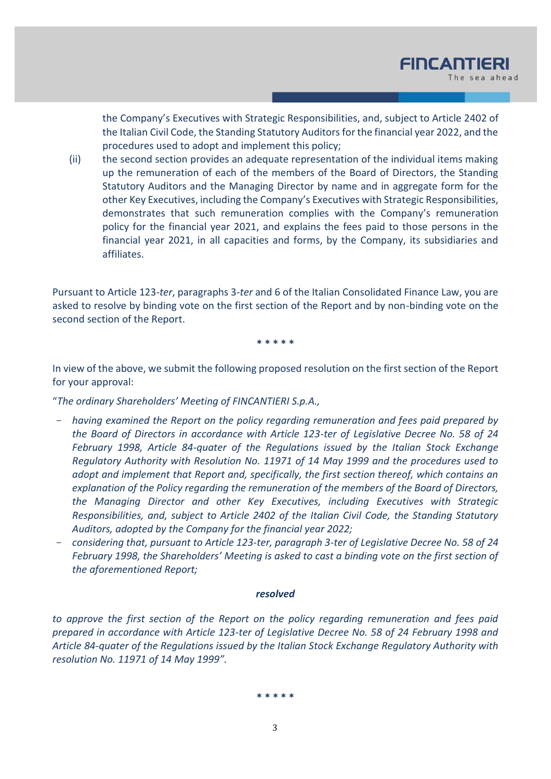the Company's Executives with Strategic Responsibilities, and, subject to Article 2402 of the Italian Civil Code, the Standing Statutory Auditors for the financial year 2022, and the procedures used to adopt and implement this policy;

(ii) the second section provides an adequate representation of the individual items making up the remuneration of each of the members of the Board of Directors, the Standing Statutory Auditors and the Managing Director by name and in aggregate form for the other Key Executives, including the Company's Executives with Strategic Responsibilities, demonstrates that such remuneration complies with the Company's remuneration policy for the financial year 2021, and explains the fees paid to those persons in the financial year 2021, in all capacities and forms, by the Company, its subsidiaries and affiliates.

Pursuant to Article 123-*ter*, paragraphs 3-*ter* and 6 of the Italian Consolidated Finance Law, you are asked to resolve by binding vote on the first section of the Report and by non-binding vote on the second section of the Report.

**\* \* \* \* \***

In view of the above, we submit the following proposed resolution on the first section of the Report for your approval:

"*The ordinary Shareholders' Meeting of FINCANTIERI S.p.A.,*

- *having examined the Report on the policy regarding remuneration and fees paid prepared by the Board of Directors in accordance with Article 123-ter of Legislative Decree No. 58 of 24 February 1998, Article 84-quater of the Regulations issued by the Italian Stock Exchange Regulatory Authority with Resolution No. 11971 of 14 May 1999 and the procedures used to adopt and implement that Report and, specifically, the first section thereof, which contains an explanation of the Policy regarding the remuneration of the members of the Board of Directors, the Managing Director and other Key Executives, including Executives with Strategic Responsibilities, and, subject to Article 2402 of the Italian Civil Code, the Standing Statutory Auditors, adopted by the Company for the financial year 2022;*
- *considering that, pursuant to Article 123-ter, paragraph 3-ter of Legislative Decree No. 58 of 24 February 1998, the Shareholders' Meeting is asked to cast a binding vote on the first section of the aforementioned Report;*

### *resolved*

*to approve the first section of the Report on the policy regarding remuneration and fees paid prepared in accordance with Article 123-ter of Legislative Decree No. 58 of 24 February 1998 and Article 84-quater of the Regulations issued by the Italian Stock Exchange Regulatory Authority with resolution No. 11971 of 14 May 1999".* 

**\* \* \* \* \***